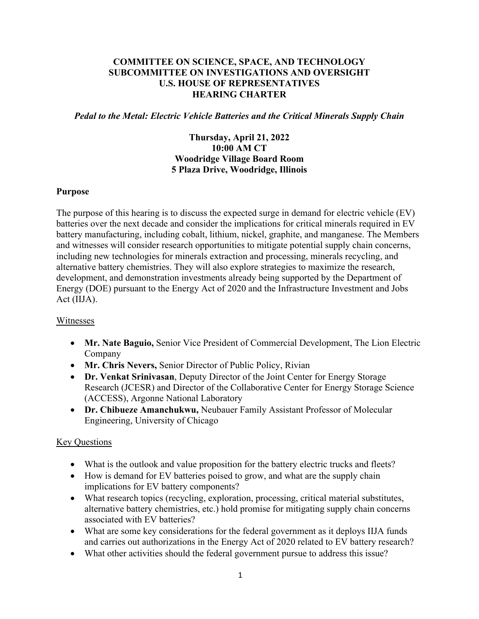### **COMMITTEE ON SCIENCE, SPACE, AND TECHNOLOGY SUBCOMMITTEE ON INVESTIGATIONS AND OVERSIGHT U.S. HOUSE OF REPRESENTATIVES HEARING CHARTER**

#### *Pedal to the Metal: Electric Vehicle Batteries and the Critical Minerals Supply Chain*

## **Thursday, April 21, 2022 10:00 AM CT Woodridge Village Board Room 5 Plaza Drive, Woodridge, Illinois**

#### **Purpose**

The purpose of this hearing is to discuss the expected surge in demand for electric vehicle (EV) batteries over the next decade and consider the implications for critical minerals required in EV battery manufacturing, including cobalt, lithium, nickel, graphite, and manganese. The Members and witnesses will consider research opportunities to mitigate potential supply chain concerns, including new technologies for minerals extraction and processing, minerals recycling, and alternative battery chemistries. They will also explore strategies to maximize the research, development, and demonstration investments already being supported by the Department of Energy (DOE) pursuant to the Energy Act of 2020 and the Infrastructure Investment and Jobs Act (IIJA).

#### Witnesses

- **Mr. Nate Baguio,** Senior Vice President of Commercial Development, The Lion Electric Company
- **Mr. Chris Nevers,** Senior Director of Public Policy, Rivian
- **Dr. Venkat Srinivasan**, Deputy Director of the Joint Center for Energy Storage Research (JCESR) and Director of the Collaborative Center for Energy Storage Science (ACCESS), Argonne National Laboratory
- **Dr. Chibueze Amanchukwu,** Neubauer Family Assistant Professor of Molecular Engineering, University of Chicago

## **Key Questions**

- What is the outlook and value proposition for the battery electric trucks and fleets?
- How is demand for EV batteries poised to grow, and what are the supply chain implications for EV battery components?
- What research topics (recycling, exploration, processing, critical material substitutes, alternative battery chemistries, etc.) hold promise for mitigating supply chain concerns associated with EV batteries?
- What are some key considerations for the federal government as it deploys IIJA funds and carries out authorizations in the Energy Act of 2020 related to EV battery research?
- What other activities should the federal government pursue to address this issue?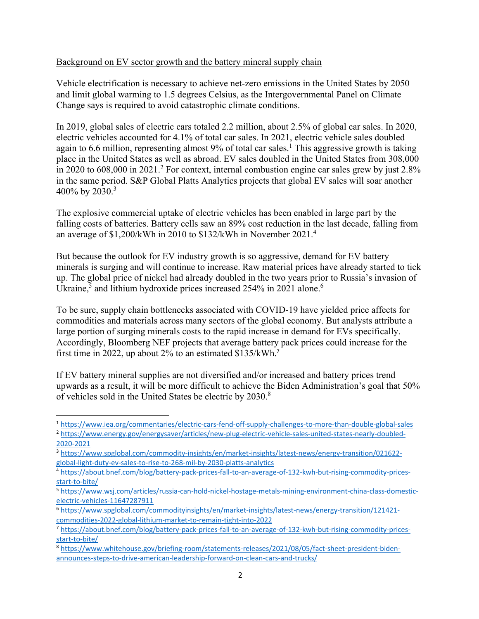### Background on EV sector growth and the battery mineral supply chain

Vehicle electrification is necessary to achieve net-zero emissions in the United States by 2050 and limit global warming to 1.5 degrees Celsius, as the Intergovernmental Panel on Climate Change says is required to avoid catastrophic climate conditions.

In 2019, global sales of electric cars totaled 2.2 million, about 2.5% of global car sales. In 2020, electric vehicles accounted for 4.1% of total car sales. In 2021, electric vehicle sales doubled again to 6.6 million, representing almost 9% of total car sales.<sup>1</sup> This aggressive growth is taking place in the United States as well as abroad. EV sales doubled in the United States from 308,000 in 2020 to 608,000 in 2021.<sup>2</sup> For context, internal combustion engine car sales grew by just 2.8% in the same period. S&P Global Platts Analytics projects that global EV sales will soar another 400% by 2030.<sup>3</sup>

The explosive commercial uptake of electric vehicles has been enabled in large part by the falling costs of batteries. Battery cells saw an 89% cost reduction in the last decade, falling from an average of \$1,200/kWh in 2010 to \$132/kWh in November 2021.<sup>4</sup>

But because the outlook for EV industry growth is so aggressive, demand for EV battery minerals is surging and will continue to increase. Raw material prices have already started to tick up. The global price of nickel had already doubled in the two years prior to Russia's invasion of Ukraine,<sup>5</sup> and lithium hydroxide prices increased 254% in 2021 alone.<sup>6</sup>

To be sure, supply chain bottlenecks associated with COVID-19 have yielded price affects for commodities and materials across many sectors of the global economy. But analysts attribute a large portion of surging minerals costs to the rapid increase in demand for EVs specifically. Accordingly, Bloomberg NEF projects that average battery pack prices could increase for the first time in 2022, up about 2% to an estimated \$135/kWh.<sup>7</sup>

If EV battery mineral supplies are not diversified and/or increased and battery prices trend upwards as a result, it will be more difficult to achieve the Biden Administration's goal that 50% of vehicles sold in the United States be electric by 2030.8

<sup>1</sup> https://www.iea.org/commentaries/electric‐cars‐fend‐off‐supply‐challenges‐to‐more‐than‐double‐global‐sales

<sup>2</sup> https://www.energy.gov/energysaver/articles/new‐plug‐electric‐vehicle‐sales‐united‐states‐nearly‐doubled‐ 2020‐2021

<sup>&</sup>lt;sup>3</sup> https://www.spglobal.com/commodity-insights/en/market-insights/latest-news/energy-transition/021622global‐light‐duty‐ev‐sales‐to‐rise‐to‐268‐mil‐by‐2030‐platts‐analytics

<sup>4</sup> https://about.bnef.com/blog/battery‐pack‐prices‐fall‐to‐an‐average‐of‐132‐kwh‐but‐rising‐commodity‐prices‐ start‐to‐bite/

<sup>5</sup> https://www.wsj.com/articles/russia‐can‐hold‐nickel‐hostage‐metals‐mining‐environment‐china‐class‐domestic‐ electric‐vehicles‐11647287911

<sup>6</sup> https://www.spglobal.com/commodityinsights/en/market‐insights/latest‐news/energy‐transition/121421‐ commodities‐2022‐global‐lithium‐market‐to‐remain‐tight‐into‐2022

<sup>7</sup> https://about.bnef.com/blog/battery-pack-prices-fall-to-an-average-of-132-kwh-but-rising-commodity-pricesstart‐to‐bite/

<sup>8</sup> https://www.whitehouse.gov/briefing-room/statements-releases/2021/08/05/fact-sheet-president-bidenannounces‐steps‐to‐drive‐american‐leadership‐forward‐on‐clean‐cars‐and‐trucks/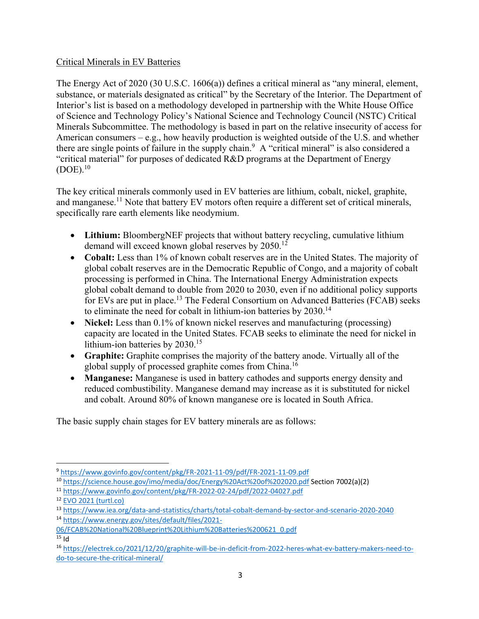## Critical Minerals in EV Batteries

The Energy Act of 2020 (30 U.S.C. 1606(a)) defines a critical mineral as "any mineral, element, substance, or materials designated as critical" by the Secretary of the Interior. The Department of Interior's list is based on a methodology developed in partnership with the White House Office of Science and Technology Policy's National Science and Technology Council (NSTC) Critical Minerals Subcommittee. The methodology is based in part on the relative insecurity of access for American consumers – e.g., how heavily production is weighted outside of the U.S. and whether there are single points of failure in the supply chain.<sup>9</sup> A "critical mineral" is also considered a "critical material" for purposes of dedicated R&D programs at the Department of Energy  $(DOE).<sup>10</sup>$ 

The key critical minerals commonly used in EV batteries are lithium, cobalt, nickel, graphite, and manganese.<sup>11</sup> Note that battery EV motors often require a different set of critical minerals, specifically rare earth elements like neodymium.

- **Lithium:** BloombergNEF projects that without battery recycling, cumulative lithium demand will exceed known global reserves by 2050.<sup>12</sup>
- **Cobalt:** Less than 1% of known cobalt reserves are in the United States. The majority of global cobalt reserves are in the Democratic Republic of Congo, and a majority of cobalt processing is performed in China. The International Energy Administration expects global cobalt demand to double from 2020 to 2030, even if no additional policy supports for EVs are put in place.<sup>13</sup> The Federal Consortium on Advanced Batteries (FCAB) seeks to eliminate the need for cobalt in lithium-ion batteries by  $2030$ .<sup>14</sup>
- Nickel: Less than 0.1% of known nickel reserves and manufacturing (processing) capacity are located in the United States. FCAB seeks to eliminate the need for nickel in lithium-ion batteries by 2030.<sup>15</sup>
- **Graphite:** Graphite comprises the majority of the battery anode. Virtually all of the global supply of processed graphite comes from China.<sup>16</sup>
- **Manganese:** Manganese is used in battery cathodes and supports energy density and reduced combustibility. Manganese demand may increase as it is substituted for nickel and cobalt. Around 80% of known manganese ore is located in South Africa.

The basic supply chain stages for EV battery minerals are as follows:

<sup>9</sup> https://www.govinfo.gov/content/pkg/FR‐2021‐11‐09/pdf/FR‐2021‐11‐09.pdf

<sup>10</sup> https://science.house.gov/imo/media/doc/Energy%20Act%20of%202020.pdf Section 7002(a)(2)

<sup>11</sup> https://www.govinfo.gov/content/pkg/FR‐2022‐02‐24/pdf/2022‐04027.pdf

<sup>12</sup> EVO 2021 (turtl.co)

<sup>13</sup> https://www.iea.org/data‐and‐statistics/charts/total‐cobalt‐demand‐by‐sector‐and‐scenario‐2020‐2040 <sup>14</sup> https://www.energy.gov/sites/default/files/2021‐

<sup>06/</sup>FCAB%20National%20Blueprint%20Lithium%20Batteries%200621\_0.pdf

 $15$  Id

<sup>16</sup> https://electrek.co/2021/12/20/graphite‐will‐be‐in‐deficit‐from‐2022‐heres‐what‐ev‐battery‐makers‐need‐to‐ do‐to‐secure‐the‐critical‐mineral/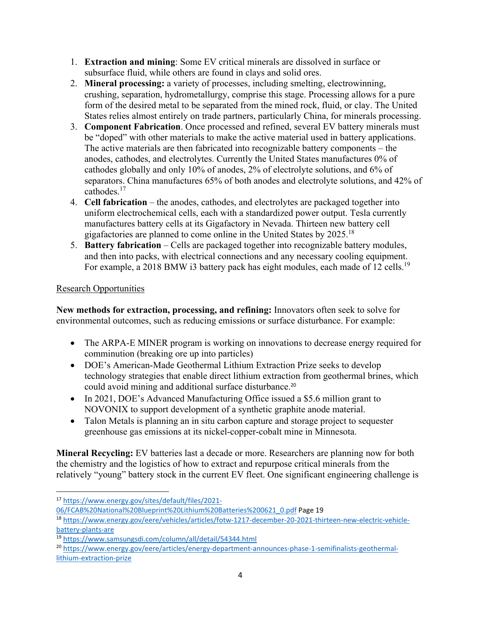- 1. **Extraction and mining**: Some EV critical minerals are dissolved in surface or subsurface fluid, while others are found in clays and solid ores.
- 2. **Mineral processing:** a variety of processes, including smelting, electrowinning, crushing, separation, hydrometallurgy, comprise this stage. Processing allows for a pure form of the desired metal to be separated from the mined rock, fluid, or clay. The United States relies almost entirely on trade partners, particularly China, for minerals processing.
- 3. **Component Fabrication**. Once processed and refined, several EV battery minerals must be "doped" with other materials to make the active material used in battery applications. The active materials are then fabricated into recognizable battery components – the anodes, cathodes, and electrolytes. Currently the United States manufactures 0% of cathodes globally and only 10% of anodes, 2% of electrolyte solutions, and 6% of separators. China manufactures 65% of both anodes and electrolyte solutions, and 42% of cathodes.17
- 4. **Cell fabrication** the anodes, cathodes, and electrolytes are packaged together into uniform electrochemical cells, each with a standardized power output. Tesla currently manufactures battery cells at its Gigafactory in Nevada. Thirteen new battery cell gigafactories are planned to come online in the United States by 2025.18
- 5. **Battery fabrication** Cells are packaged together into recognizable battery modules, and then into packs, with electrical connections and any necessary cooling equipment. For example, a 2018 BMW i3 battery pack has eight modules, each made of 12 cells.<sup>19</sup>

# Research Opportunities

**New methods for extraction, processing, and refining:** Innovators often seek to solve for environmental outcomes, such as reducing emissions or surface disturbance. For example:

- The ARPA-E MINER program is working on innovations to decrease energy required for comminution (breaking ore up into particles)
- DOE's American-Made Geothermal Lithium Extraction Prize seeks to develop technology strategies that enable direct lithium extraction from geothermal brines, which could avoid mining and additional surface disturbance.<sup>20</sup>
- In 2021, DOE's Advanced Manufacturing Office issued a \$5.6 million grant to NOVONIX to support development of a synthetic graphite anode material.
- Talon Metals is planning an in situ carbon capture and storage project to sequester greenhouse gas emissions at its nickel-copper-cobalt mine in Minnesota.

**Mineral Recycling:** EV batteries last a decade or more. Researchers are planning now for both the chemistry and the logistics of how to extract and repurpose critical minerals from the relatively "young" battery stock in the current EV fleet. One significant engineering challenge is

06/FCAB%20National%20Blueprint%20Lithium%20Batteries%200621\_0.pdf Page 19

<sup>17</sup> https://www.energy.gov/sites/default/files/2021‐

<sup>18</sup> https://www.energy.gov/eere/vehicles/articles/fotw-1217-december-20-2021-thirteen-new-electric-vehiclebattery‐plants‐are

<sup>19</sup> https://www.samsungsdi.com/column/all/detail/54344.html

<sup>20</sup> https://www.energy.gov/eere/articles/energy‐department‐announces‐phase‐1‐semifinalists‐geothermal‐ lithium‐extraction‐prize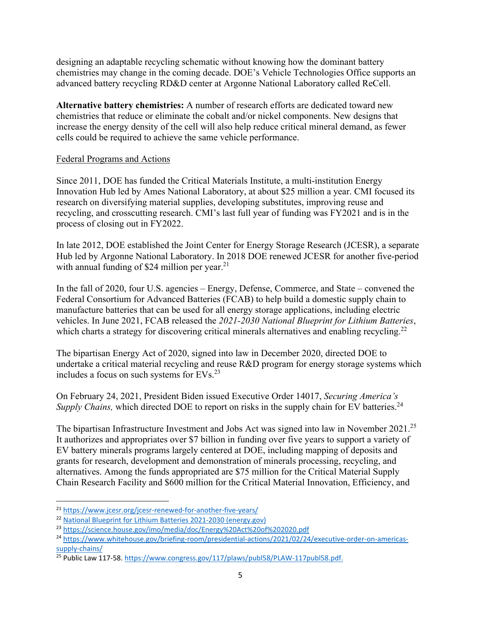designing an adaptable recycling schematic without knowing how the dominant battery chemistries may change in the coming decade. DOE's Vehicle Technologies Office supports an advanced battery recycling RD&D center at Argonne National Laboratory called ReCell.

**Alternative battery chemistries:** A number of research efforts are dedicated toward new chemistries that reduce or eliminate the cobalt and/or nickel components. New designs that increase the energy density of the cell will also help reduce critical mineral demand, as fewer cells could be required to achieve the same vehicle performance.

### Federal Programs and Actions

Since 2011, DOE has funded the Critical Materials Institute, a multi-institution Energy Innovation Hub led by Ames National Laboratory, at about \$25 million a year. CMI focused its research on diversifying material supplies, developing substitutes, improving reuse and recycling, and crosscutting research. CMI's last full year of funding was FY2021 and is in the process of closing out in FY2022.

In late 2012, DOE established the Joint Center for Energy Storage Research (JCESR), a separate Hub led by Argonne National Laboratory. In 2018 DOE renewed JCESR for another five-period with annual funding of \$24 million per year.<sup>21</sup>

In the fall of 2020, four U.S. agencies – Energy, Defense, Commerce, and State – convened the Federal Consortium for Advanced Batteries (FCAB) to help build a domestic supply chain to manufacture batteries that can be used for all energy storage applications, including electric vehicles. In June 2021, FCAB released the *2021-2030 National Blueprint for Lithium Batteries*, which charts a strategy for discovering critical minerals alternatives and enabling recycling.<sup>22</sup>

The bipartisan Energy Act of 2020, signed into law in December 2020, directed DOE to undertake a critical material recycling and reuse R&D program for energy storage systems which includes a focus on such systems for EVs.23

On February 24, 2021, President Biden issued Executive Order 14017, *Securing America's Supply Chains, which directed DOE to report on risks in the supply chain for EV batteries.<sup>24</sup>* 

The bipartisan Infrastructure Investment and Jobs Act was signed into law in November 2021.<sup>25</sup> It authorizes and appropriates over \$7 billion in funding over five years to support a variety of EV battery minerals programs largely centered at DOE, including mapping of deposits and grants for research, development and demonstration of minerals processing, recycling, and alternatives. Among the funds appropriated are \$75 million for the Critical Material Supply Chain Research Facility and \$600 million for the Critical Material Innovation, Efficiency, and

<sup>&</sup>lt;sup>21</sup> https://www.jcesr.org/jcesr-renewed-for-another-five-vears/

<sup>22</sup> National Blueprint for Lithium Batteries 2021‐2030 (energy.gov)

<sup>23</sup> https://science.house.gov/imo/media/doc/Energy%20Act%20of%202020.pdf

<sup>&</sup>lt;sup>24</sup> https://www.whitehouse.gov/briefing-room/presidential-actions/2021/02/24/executive-order-on-americassupply-chains/

<sup>&</sup>lt;sup>25</sup> Public Law 117-58. https://www.congress.gov/117/plaws/publ58/PLAW-117publ58.pdf.